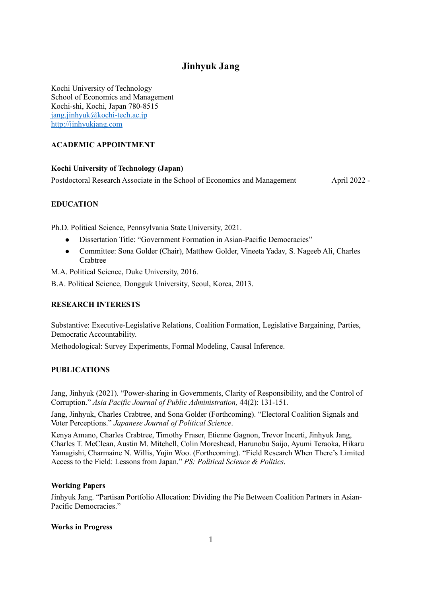# **Jinhyuk Jang**

Kochi University of Technology School of Economics and Management Kochi-shi, Kochi, Japan 780-8515 [jang.jinhyuk@kochi-tech.ac.jp](mailto:jang.jinhyuk@kochi-tech.ac.jp) [http://jinhyukjang.com](http://jinhyukjang.com/)

# **ACADEMIC APPOINTMENT**

#### **Kochi University of Technology (Japan)**

Postdoctoral Research Associate in the School of Economics and Management April 2022 -

# **EDUCATION**

Ph.D. Political Science, Pennsylvania State University, 2021.

- ⚫ Dissertation Title: "Government Formation in Asian-Pacific Democracies"
- ⚫ Committee: Sona Golder (Chair), Matthew Golder, Vineeta Yadav, S. Nageeb Ali, Charles Crabtree

M.A. Political Science, Duke University, 2016.

B.A. Political Science, Dongguk University, Seoul, Korea, 2013.

# **RESEARCH INTERESTS**

Substantive: Executive-Legislative Relations, Coalition Formation, Legislative Bargaining, Parties, Democratic Accountability.

Methodological: Survey Experiments, Formal Modeling, Causal Inference.

#### **PUBLICATIONS**

Jang, Jinhyuk (2021). "Power-sharing in Governments, Clarity of Responsibility, and the Control of Corruption." *Asia Pacific Journal of Public Administration,* 44(2): 131-151*.*

Jang, Jinhyuk, Charles Crabtree, and Sona Golder (Forthcoming). "Electoral Coalition Signals and Voter Perceptions." *Japanese Journal of Political Science*.

Kenya Amano, Charles Crabtree, Timothy Fraser, Etienne Gagnon, Trevor Incerti, Jinhyuk Jang, Charles T. McClean, Austin M. Mitchell, Colin Moreshead, Harunobu Saijo, Ayumi Teraoka, Hikaru Yamagishi, Charmaine N. Willis, Yujin Woo. (Forthcoming). "Field Research When There's Limited Access to the Field: Lessons from Japan." *PS: Political Science & Politics*.

#### **Working Papers**

Jinhyuk Jang. "Partisan Portfolio Allocation: Dividing the Pie Between Coalition Partners in Asian-Pacific Democracies."

#### **Works in Progress**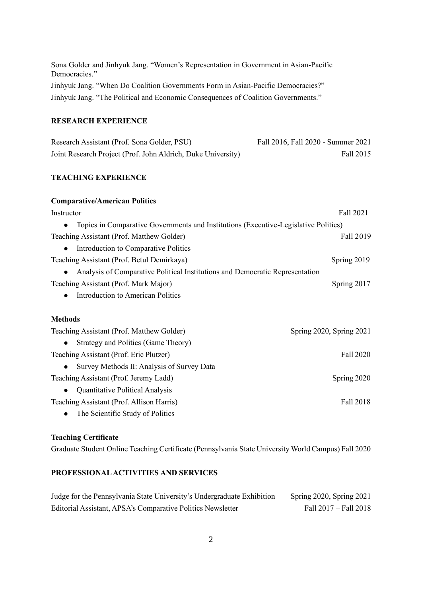Sona Golder and Jinhyuk Jang. "Women's Representation in Government in Asian-Pacific Democracies." Jinhyuk Jang. "When Do Coalition Governments Form in Asian-Pacific Democracies?" Jinhyuk Jang. "The Political and Economic Consequences of Coalition Governments."

# **RESEARCH EXPERIENCE**

| Research Assistant (Prof. Sona Golder, PSU)                  | Fall 2016, Fall 2020 - Summer 2021 |
|--------------------------------------------------------------|------------------------------------|
| Joint Research Project (Prof. John Aldrich, Duke University) | Fall 2015                          |

## **TEACHING EXPERIENCE**

| <b>Comparative/American Politics</b>                                                             |                          |
|--------------------------------------------------------------------------------------------------|--------------------------|
| Instructor                                                                                       | Fall 2021                |
| Topics in Comparative Governments and Institutions (Executive-Legislative Politics)<br>$\bullet$ |                          |
| Teaching Assistant (Prof. Matthew Golder)                                                        | Fall 2019                |
| Introduction to Comparative Politics<br>$\bullet$                                                |                          |
| Teaching Assistant (Prof. Betul Demirkaya)                                                       | Spring 2019              |
| Analysis of Comparative Political Institutions and Democratic Representation<br>$\bullet$        |                          |
| Teaching Assistant (Prof. Mark Major)                                                            | Spring 2017              |
| <b>Introduction to American Politics</b>                                                         |                          |
| <b>Methods</b>                                                                                   |                          |
| Teaching Assistant (Prof. Matthew Golder)                                                        | Spring 2020, Spring 2021 |
| Strategy and Politics (Game Theory)<br>$\bullet$                                                 |                          |
| Teaching Assistant (Prof. Eric Plutzer)                                                          | Fall 2020                |
| Survey Methods II: Analysis of Survey Data<br>$\bullet$                                          |                          |
| Teaching Assistant (Prof. Jeremy Ladd)                                                           | Spring 2020              |
| Quantitative Political Analysis<br>$\bullet$                                                     |                          |
| Teaching Assistant (Prof. Allison Harris)                                                        | Fall 2018                |
| The Scientific Study of Politics<br>$\bullet$                                                    |                          |

#### **Teaching Certificate**

Graduate Student Online Teaching Certificate (Pennsylvania State University World Campus) Fall 2020

# **PROFESSIONAL ACTIVITIES AND SERVICES**

| Judge for the Pennsylvania State University's Undergraduate Exhibition | Spring 2020, Spring 2021 |
|------------------------------------------------------------------------|--------------------------|
| Editorial Assistant, APSA's Comparative Politics Newsletter            | Fall 2017 - Fall 2018    |